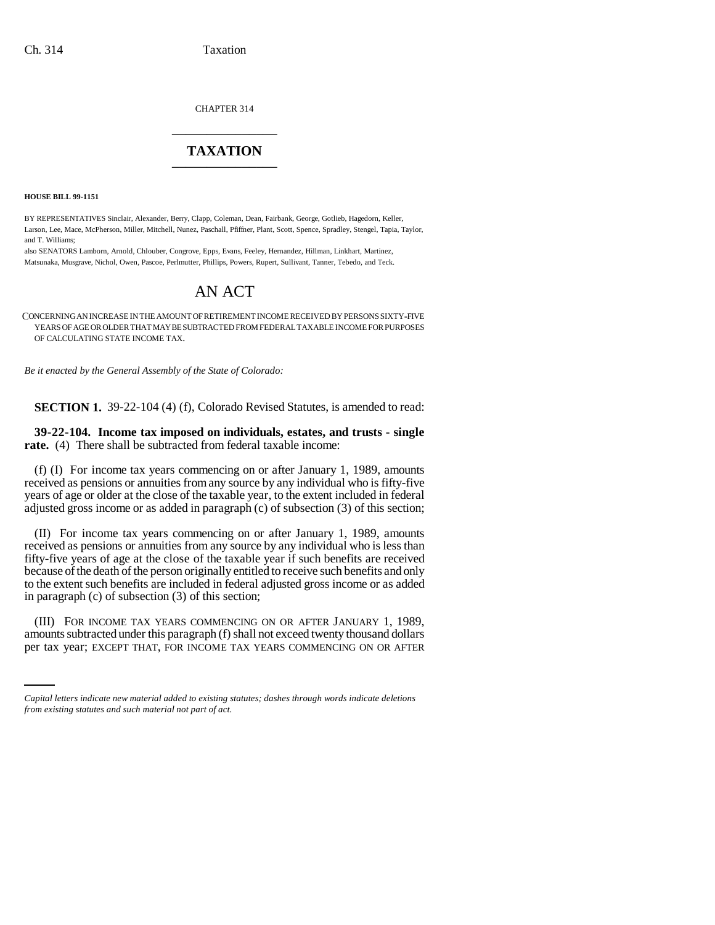CHAPTER 314 \_\_\_\_\_\_\_\_\_\_\_\_\_\_\_

## **TAXATION** \_\_\_\_\_\_\_\_\_\_\_\_\_\_\_

**HOUSE BILL 99-1151** 

BY REPRESENTATIVES Sinclair, Alexander, Berry, Clapp, Coleman, Dean, Fairbank, George, Gotlieb, Hagedorn, Keller, Larson, Lee, Mace, McPherson, Miller, Mitchell, Nunez, Paschall, Pfiffner, Plant, Scott, Spence, Spradley, Stengel, Tapia, Taylor, and T. Williams;

also SENATORS Lamborn, Arnold, Chlouber, Congrove, Epps, Evans, Feeley, Hernandez, Hillman, Linkhart, Martinez, Matsunaka, Musgrave, Nichol, Owen, Pascoe, Perlmutter, Phillips, Powers, Rupert, Sullivant, Tanner, Tebedo, and Teck.

## AN ACT

CONCERNING AN INCREASE IN THE AMOUNT OF RETIREMENT INCOME RECEIVED BY PERSONS SIXTY-FIVE YEARS OF AGE OR OLDER THAT MAY BE SUBTRACTED FROM FEDERAL TAXABLE INCOME FOR PURPOSES OF CALCULATING STATE INCOME TAX.

*Be it enacted by the General Assembly of the State of Colorado:*

**SECTION 1.** 39-22-104 (4) (f), Colorado Revised Statutes, is amended to read:

**39-22-104. Income tax imposed on individuals, estates, and trusts - single rate.** (4) There shall be subtracted from federal taxable income:

(f) (I) For income tax years commencing on or after January 1, 1989, amounts received as pensions or annuities from any source by any individual who is fifty-five years of age or older at the close of the taxable year, to the extent included in federal adjusted gross income or as added in paragraph (c) of subsection (3) of this section;

(II) For income tax years commencing on or after January 1, 1989, amounts received as pensions or annuities from any source by any individual who is less than fifty-five years of age at the close of the taxable year if such benefits are received because of the death of the person originally entitled to receive such benefits and only to the extent such benefits are included in federal adjusted gross income or as added in paragraph (c) of subsection (3) of this section;

(III) FOR INCOME TAX YEARS COMMENCING ON OR AFTER JANUARY 1, 1989, amounts subtracted under this paragraph (f) shall not exceed twenty thousand dollars per tax year; EXCEPT THAT, FOR INCOME TAX YEARS COMMENCING ON OR AFTER

*Capital letters indicate new material added to existing statutes; dashes through words indicate deletions from existing statutes and such material not part of act.*